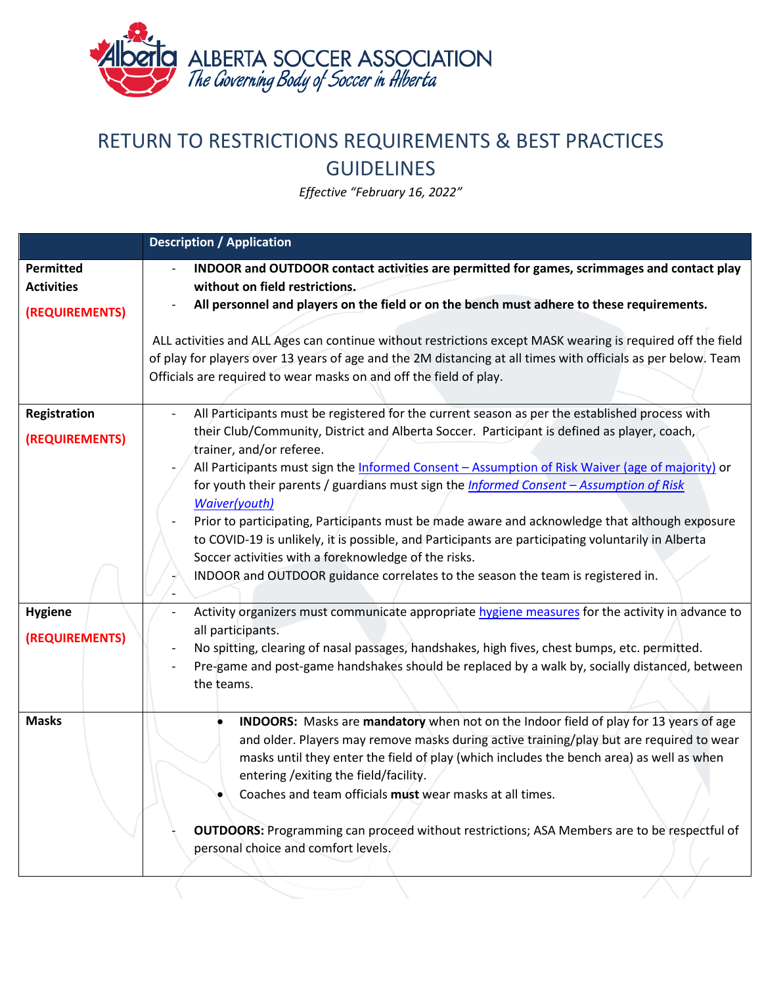

## RETURN TO RESTRICTIONS REQUIREMENTS & BEST PRACTICES GUIDELINES

*Effective "February 16, 2022"*

|                                                  | <b>Description / Application</b>                                                                                                                                                                                                                                                                                                                                                                                                                                                                                                                                                                                                                                                                                                                                                                    |  |
|--------------------------------------------------|-----------------------------------------------------------------------------------------------------------------------------------------------------------------------------------------------------------------------------------------------------------------------------------------------------------------------------------------------------------------------------------------------------------------------------------------------------------------------------------------------------------------------------------------------------------------------------------------------------------------------------------------------------------------------------------------------------------------------------------------------------------------------------------------------------|--|
| Permitted<br><b>Activities</b><br>(REQUIREMENTS) | INDOOR and OUTDOOR contact activities are permitted for games, scrimmages and contact play<br>without on field restrictions.<br>All personnel and players on the field or on the bench must adhere to these requirements.<br>ALL activities and ALL Ages can continue without restrictions except MASK wearing is required off the field<br>of play for players over 13 years of age and the 2M distancing at all times with officials as per below. Team<br>Officials are required to wear masks on and off the field of play.                                                                                                                                                                                                                                                                     |  |
| Registration<br>(REQUIREMENTS)                   | All Participants must be registered for the current season as per the established process with<br>their Club/Community, District and Alberta Soccer. Participant is defined as player, coach,<br>trainer, and/or referee.<br>All Participants must sign the Informed Consent - Assumption of Risk Waiver (age of majority) or<br>for youth their parents / guardians must sign the <i>Informed Consent - Assumption of Risk</i><br>Waiver(youth)<br>Prior to participating, Participants must be made aware and acknowledge that although exposure<br>to COVID-19 is unlikely, it is possible, and Participants are participating voluntarily in Alberta<br>Soccer activities with a foreknowledge of the risks.<br>INDOOR and OUTDOOR guidance correlates to the season the team is registered in. |  |
| <b>Hygiene</b><br>(REQUIREMENTS)                 | Activity organizers must communicate appropriate hygiene measures for the activity in advance to<br>all participants.<br>No spitting, clearing of nasal passages, handshakes, high fives, chest bumps, etc. permitted.<br>Pre-game and post-game handshakes should be replaced by a walk by, socially distanced, between<br>the teams.                                                                                                                                                                                                                                                                                                                                                                                                                                                              |  |
| <b>Masks</b>                                     | INDOORS: Masks are mandatory when not on the Indoor field of play for 13 years of age<br>and older. Players may remove masks during active training/play but are required to wear<br>masks until they enter the field of play (which includes the bench area) as well as when<br>entering / exiting the field/facility.<br>Coaches and team officials must wear masks at all times.<br><b>OUTDOORS:</b> Programming can proceed without restrictions; ASA Members are to be respectful of<br>personal choice and comfort levels.                                                                                                                                                                                                                                                                    |  |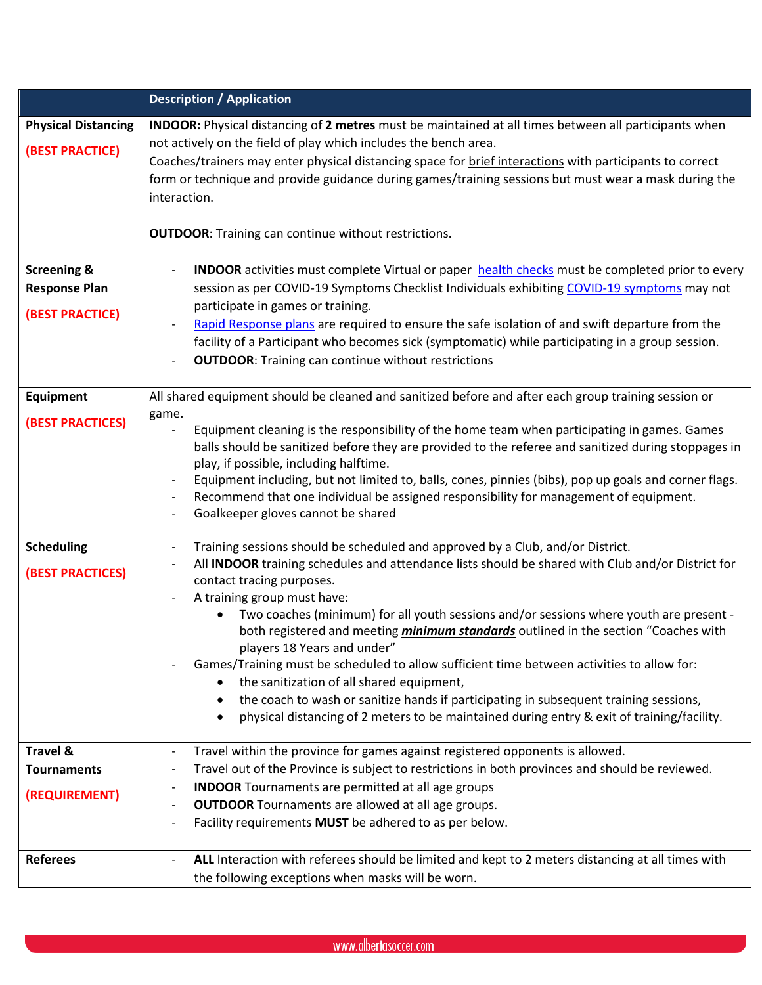|                                                                          | <b>Description / Application</b>                                                                                                                                                                                                                                                                                                                                                                                                                                                                                                                                                                                                                                                                                                                                                                                                          |
|--------------------------------------------------------------------------|-------------------------------------------------------------------------------------------------------------------------------------------------------------------------------------------------------------------------------------------------------------------------------------------------------------------------------------------------------------------------------------------------------------------------------------------------------------------------------------------------------------------------------------------------------------------------------------------------------------------------------------------------------------------------------------------------------------------------------------------------------------------------------------------------------------------------------------------|
| <b>Physical Distancing</b><br>(BEST PRACTICE)                            | INDOOR: Physical distancing of 2 metres must be maintained at all times between all participants when<br>not actively on the field of play which includes the bench area.<br>Coaches/trainers may enter physical distancing space for brief interactions with participants to correct<br>form or technique and provide guidance during games/training sessions but must wear a mask during the<br>interaction.<br><b>OUTDOOR:</b> Training can continue without restrictions.                                                                                                                                                                                                                                                                                                                                                             |
| <b>Screening &amp;</b><br><b>Response Plan</b><br><b>(BEST PRACTICE)</b> | <b>INDOOR</b> activities must complete Virtual or paper health checks must be completed prior to every<br>$\overline{\phantom{a}}$<br>session as per COVID-19 Symptoms Checklist Individuals exhibiting COVID-19 symptoms may not<br>participate in games or training.<br>Rapid Response plans are required to ensure the safe isolation of and swift departure from the<br>facility of a Participant who becomes sick (symptomatic) while participating in a group session.<br><b>OUTDOOR:</b> Training can continue without restrictions                                                                                                                                                                                                                                                                                                |
| Equipment<br><b>(BEST PRACTICES)</b>                                     | All shared equipment should be cleaned and sanitized before and after each group training session or<br>game.<br>Equipment cleaning is the responsibility of the home team when participating in games. Games<br>balls should be sanitized before they are provided to the referee and sanitized during stoppages in<br>play, if possible, including halftime.<br>Equipment including, but not limited to, balls, cones, pinnies (bibs), pop up goals and corner flags.<br>Recommend that one individual be assigned responsibility for management of equipment.<br>$\overline{\phantom{a}}$<br>Goalkeeper gloves cannot be shared                                                                                                                                                                                                        |
| <b>Scheduling</b><br><b>(BEST PRACTICES)</b>                             | Training sessions should be scheduled and approved by a Club, and/or District.<br>$\overline{\phantom{a}}$<br>All INDOOR training schedules and attendance lists should be shared with Club and/or District for<br>contact tracing purposes.<br>A training group must have:<br>Two coaches (minimum) for all youth sessions and/or sessions where youth are present -<br>both registered and meeting <i>minimum standards</i> outlined in the section "Coaches with<br>players 18 Years and under"<br>Games/Training must be scheduled to allow sufficient time between activities to allow for:<br>the sanitization of all shared equipment,<br>the coach to wash or sanitize hands if participating in subsequent training sessions,<br>physical distancing of 2 meters to be maintained during entry & exit of training/facility.<br>٠ |
| <b>Travel &amp;</b><br><b>Tournaments</b><br>(REQUIREMENT)               | Travel within the province for games against registered opponents is allowed.<br>Travel out of the Province is subject to restrictions in both provinces and should be reviewed.<br><b>INDOOR</b> Tournaments are permitted at all age groups<br><b>OUTDOOR</b> Tournaments are allowed at all age groups.<br>$\overline{\phantom{a}}$<br>Facility requirements MUST be adhered to as per below.                                                                                                                                                                                                                                                                                                                                                                                                                                          |
| <b>Referees</b>                                                          | ALL Interaction with referees should be limited and kept to 2 meters distancing at all times with<br>the following exceptions when masks will be worn.                                                                                                                                                                                                                                                                                                                                                                                                                                                                                                                                                                                                                                                                                    |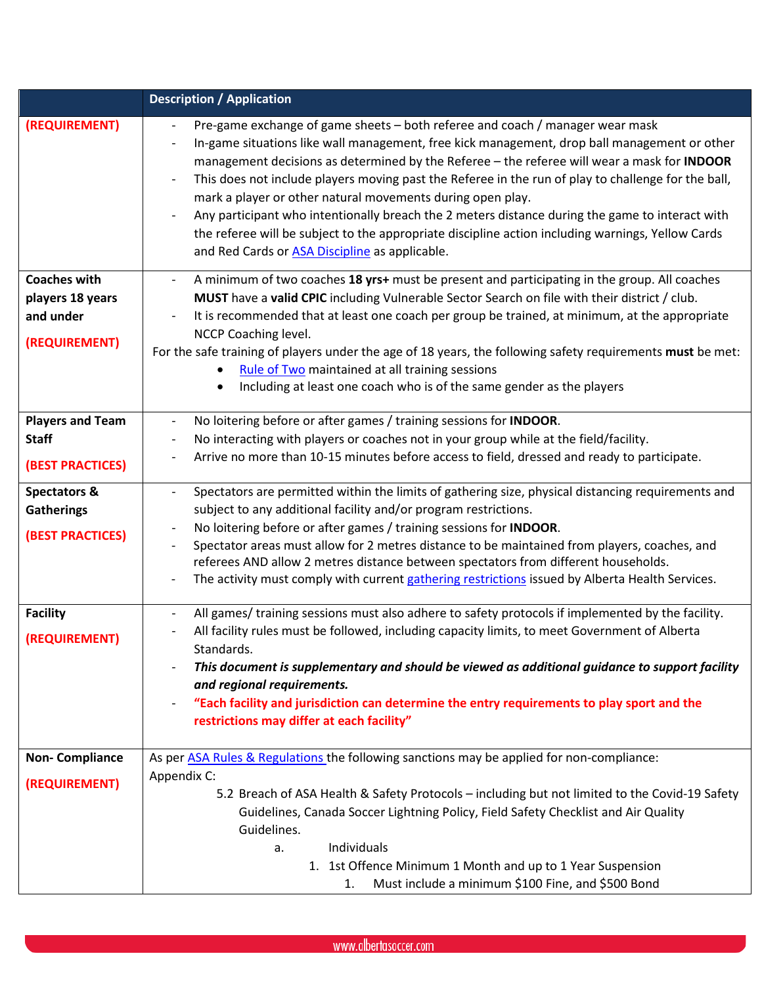|                                                                         | <b>Description / Application</b>                                                                                                                                                                                                                                                                                                                                                                                                                                                                                                                                                                                                                                                                            |
|-------------------------------------------------------------------------|-------------------------------------------------------------------------------------------------------------------------------------------------------------------------------------------------------------------------------------------------------------------------------------------------------------------------------------------------------------------------------------------------------------------------------------------------------------------------------------------------------------------------------------------------------------------------------------------------------------------------------------------------------------------------------------------------------------|
| (REQUIREMENT)                                                           | Pre-game exchange of game sheets - both referee and coach / manager wear mask<br>In-game situations like wall management, free kick management, drop ball management or other<br>management decisions as determined by the Referee - the referee will wear a mask for INDOOR<br>This does not include players moving past the Referee in the run of play to challenge for the ball,<br>mark a player or other natural movements during open play.<br>Any participant who intentionally breach the 2 meters distance during the game to interact with<br>the referee will be subject to the appropriate discipline action including warnings, Yellow Cards<br>and Red Cards or ASA Discipline as applicable. |
| <b>Coaches with</b><br>players 18 years<br>and under<br>(REQUIREMENT)   | A minimum of two coaches 18 yrs+ must be present and participating in the group. All coaches<br>MUST have a valid CPIC including Vulnerable Sector Search on file with their district / club.<br>It is recommended that at least one coach per group be trained, at minimum, at the appropriate<br>NCCP Coaching level.<br>For the safe training of players under the age of 18 years, the following safety requirements must be met:<br>Rule of Two maintained at all training sessions<br>$\bullet$<br>Including at least one coach who is of the same gender as the players<br>$\bullet$                                                                                                                 |
| <b>Players and Team</b><br><b>Staff</b><br><b>(BEST PRACTICES)</b>      | No loitering before or after games / training sessions for INDOOR.<br>$\overline{\phantom{a}}$<br>No interacting with players or coaches not in your group while at the field/facility.<br>Arrive no more than 10-15 minutes before access to field, dressed and ready to participate.                                                                                                                                                                                                                                                                                                                                                                                                                      |
| <b>Spectators &amp;</b><br><b>Gatherings</b><br><b>(BEST PRACTICES)</b> | Spectators are permitted within the limits of gathering size, physical distancing requirements and<br>subject to any additional facility and/or program restrictions.<br>No loitering before or after games / training sessions for INDOOR.<br>Spectator areas must allow for 2 metres distance to be maintained from players, coaches, and<br>referees AND allow 2 metres distance between spectators from different households.<br>The activity must comply with current gathering restrictions issued by Alberta Health Services.                                                                                                                                                                        |
| <b>Facility</b><br>(REQUIREMENT)                                        | All games/ training sessions must also adhere to safety protocols if implemented by the facility.<br>$\overline{\phantom{a}}$<br>All facility rules must be followed, including capacity limits, to meet Government of Alberta<br>Standards.<br>This document is supplementary and should be viewed as additional guidance to support facility<br>and regional requirements.<br>"Each facility and jurisdiction can determine the entry requirements to play sport and the<br>restrictions may differ at each facility"                                                                                                                                                                                     |
| <b>Non-Compliance</b><br>(REQUIREMENT)                                  | As per ASA Rules & Regulations the following sanctions may be applied for non-compliance:<br>Appendix C:<br>5.2 Breach of ASA Health & Safety Protocols - including but not limited to the Covid-19 Safety<br>Guidelines, Canada Soccer Lightning Policy, Field Safety Checklist and Air Quality<br>Guidelines.<br>Individuals<br>а.<br>1. 1st Offence Minimum 1 Month and up to 1 Year Suspension                                                                                                                                                                                                                                                                                                          |
|                                                                         | Must include a minimum \$100 Fine, and \$500 Bond<br>$1_{-}$                                                                                                                                                                                                                                                                                                                                                                                                                                                                                                                                                                                                                                                |